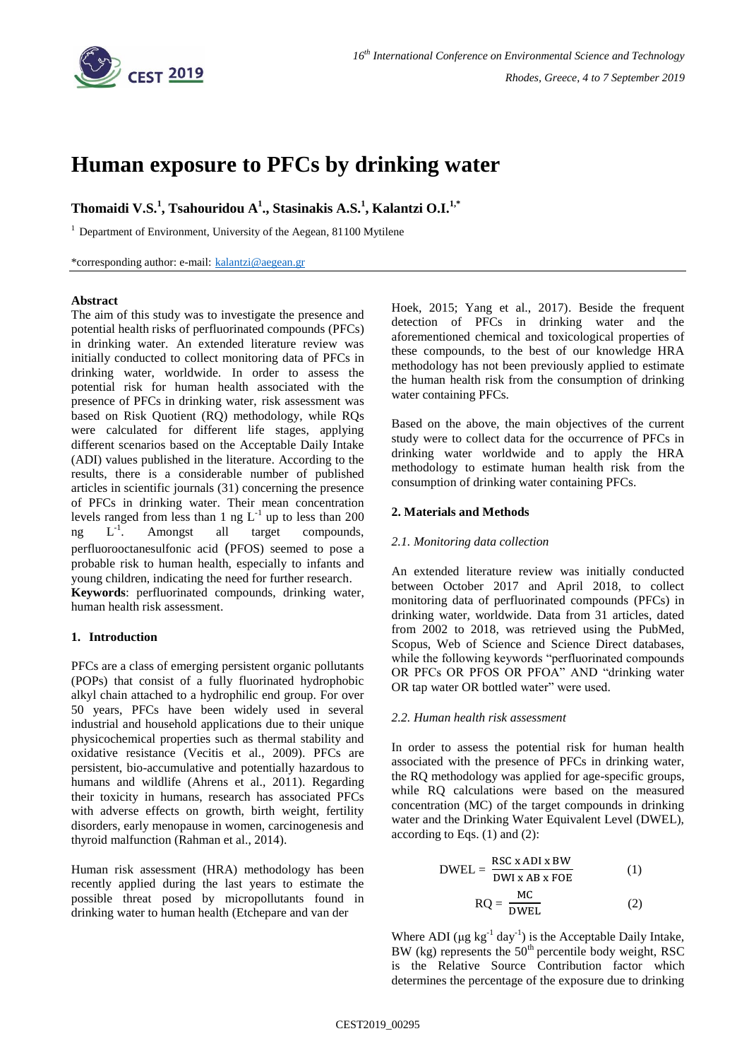

# **Human exposure to PFCs by drinking water**

**Thomaidi V.S.<sup>1</sup> , Tsahouridou A<sup>1</sup> ., Stasinakis A.S.<sup>1</sup> , Kalantzi O.I.1,\***

 $1$  Department of Environment, University of the Aegean, 81100 Mytilene

\*corresponding author: e-mail: [kalantzi@aegean.gr](mailto:kalantzi@aegean.gr)

## **Abstract**

The aim of this study was to investigate the presence and potential health risks of perfluorinated compounds (PFCs) in drinking water. An extended literature review was initially conducted to collect monitoring data of PFCs in drinking water, worldwide. In order to assess the potential risk for human health associated with the presence of PFCs in drinking water, risk assessment was based on Risk Quotient (RQ) methodology, while RQs were calculated for different life stages, applying different scenarios based on the Acceptable Daily Intake (ADI) values published in the literature. According to the results, there is a considerable number of published articles in scientific journals (31) concerning the presence of PFCs in drinking water. Their mean concentration levels ranged from less than 1 ng  $L^{-1}$  up to less than 200  $ng \tL^{-1}$ . . Amongst all target compounds, perfluorooctanesulfonic acid (PFOS) seemed to pose a probable risk to human health, especially to infants and young children, indicating the need for further research.

**Keywords**: perfluorinated compounds, drinking water, human health risk assessment.

# **1. Introduction**

PFCs are a class of emerging persistent organic pollutants (POPs) that consist of a fully fluorinated hydrophobic alkyl chain attached to a hydrophilic end group. For over 50 years, PFCs have been widely used in several industrial and household applications due to their unique physicochemical properties such as thermal stability and oxidative resistance (Vecitis et al., 2009). PFCs are persistent, bio-accumulative and potentially hazardous to humans and wildlife (Ahrens et al., 2011). Regarding their toxicity in humans, research has associated PFCs with adverse effects on growth, birth weight, fertility disorders, early menopause in women, carcinogenesis and thyroid malfunction (Rahman et al., 2014).

Human risk assessment (HRA) methodology has been recently applied during the last years to estimate the possible threat posed by micropollutants found in drinking water to human health (Etchepare and van der

Hoek, 2015; Yang et al., 2017). Beside the frequent detection of PFCs in drinking water and the aforementioned chemical and toxicological properties of these compounds, to the best of our knowledge HRA methodology has not been previously applied to estimate the human health risk from the consumption of drinking water containing PFCs.

Based on the above, the main objectives of the current study were to collect data for the occurrence of PFCs in drinking water worldwide and to apply the HRA methodology to estimate human health risk from the consumption of drinking water containing PFCs.

# **2. Materials and Methods**

## *2.1. Monitoring data collection*

An extended literature review was initially conducted between October 2017 and April 2018, to collect monitoring data of perfluorinated compounds (PFCs) in drinking water, worldwide. Data from 31 articles, dated from 2002 to 2018, was retrieved using the PubMed, Scopus, Web of Science and Science Direct databases, while the following keywords "perfluorinated compounds OR PFCs OR PFOS OR PFOA" AND "drinking water OR tap water OR bottled water" were used.

## *2.2. Human health risk assessment*

In order to assess the potential risk for human health associated with the presence of PFCs in drinking water, the RQ methodology was applied for age-specific groups, while RQ calculations were based on the measured concentration (MC) of the target compounds in drinking water and the Drinking Water Equivalent Level (DWEL), according to Eqs.  $(1)$  and  $(2)$ :

$$
DWEL = \frac{RSC \times ADI \times BW}{DWI \times AB \times FOE}
$$
 (1)

$$
RQ = \frac{MC}{DWEL}
$$
 (2)

Where ADI ( $\mu$ g kg<sup>-1</sup> day<sup>-1</sup>) is the Acceptable Daily Intake, BW (kg) represents the  $50<sup>th</sup>$  percentile body weight, RSC is the Relative Source Contribution factor which determines the percentage of the exposure due to drinking